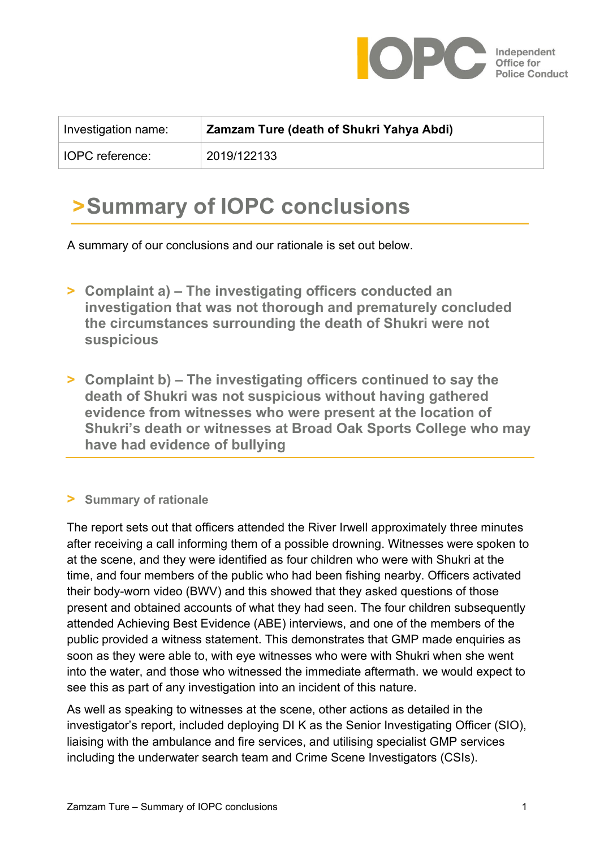

| Investigation name:    | Zamzam Ture (death of Shukri Yahya Abdi) |
|------------------------|------------------------------------------|
| <b>IOPC</b> reference: | 2019/122133                              |

## **>Summary of IOPC conclusions**

A summary of our conclusions and our rationale is set out below.

- **> Complaint a) – The investigating officers conducted an investigation that was not thorough and prematurely concluded the circumstances surrounding the death of Shukri were not suspicious**
- **> Complaint b) – The investigating officers continued to say the death of Shukri was not suspicious without having gathered evidence from witnesses who were present at the location of Shukri's death or witnesses at Broad Oak Sports College who may have had evidence of bullying**

## **> Summary of rationale**

The report sets out that officers attended the River Irwell approximately three minutes after receiving a call informing them of a possible drowning. Witnesses were spoken to at the scene, and they were identified as four children who were with Shukri at the time, and four members of the public who had been fishing nearby. Officers activated their body-worn video (BWV) and this showed that they asked questions of those present and obtained accounts of what they had seen. The four children subsequently attended Achieving Best Evidence (ABE) interviews, and one of the members of the public provided a witness statement. This demonstrates that GMP made enquiries as soon as they were able to, with eye witnesses who were with Shukri when she went into the water, and those who witnessed the immediate aftermath. we would expect to see this as part of any investigation into an incident of this nature.

As well as speaking to witnesses at the scene, other actions as detailed in the investigator's report, included deploying DI K as the Senior Investigating Officer (SIO), liaising with the ambulance and fire services, and utilising specialist GMP services including the underwater search team and Crime Scene Investigators (CSIs).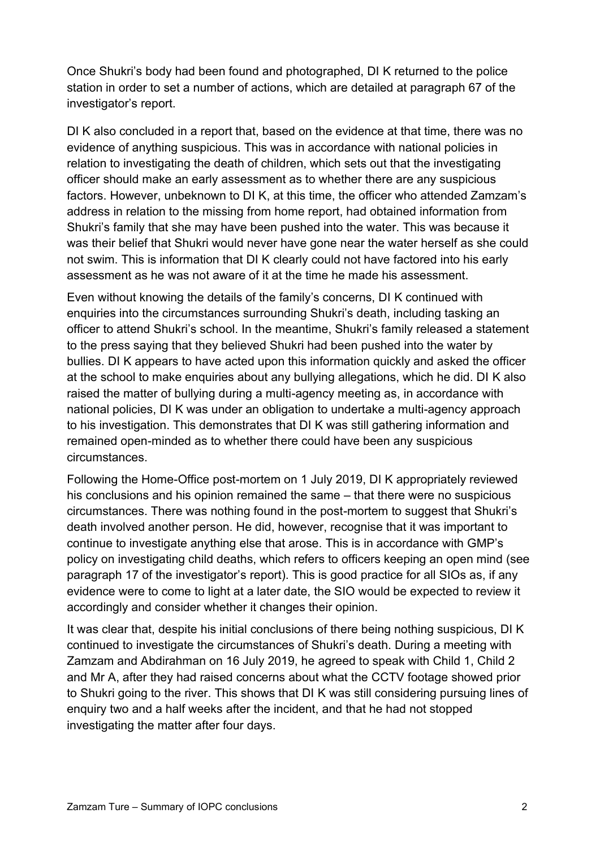Once Shukri's body had been found and photographed, DI K returned to the police station in order to set a number of actions, which are detailed at paragraph 67 of the investigator's report.

DI K also concluded in a report that, based on the evidence at that time, there was no evidence of anything suspicious. This was in accordance with national policies in relation to investigating the death of children, which sets out that the investigating officer should make an early assessment as to whether there are any suspicious factors. However, unbeknown to DI K, at this time, the officer who attended Zamzam's address in relation to the missing from home report, had obtained information from Shukri's family that she may have been pushed into the water. This was because it was their belief that Shukri would never have gone near the water herself as she could not swim. This is information that DI K clearly could not have factored into his early assessment as he was not aware of it at the time he made his assessment.

Even without knowing the details of the family's concerns, DI K continued with enquiries into the circumstances surrounding Shukri's death, including tasking an officer to attend Shukri's school. In the meantime, Shukri's family released a statement to the press saying that they believed Shukri had been pushed into the water by bullies. DI K appears to have acted upon this information quickly and asked the officer at the school to make enquiries about any bullying allegations, which he did. DI K also raised the matter of bullying during a multi-agency meeting as, in accordance with national policies, DI K was under an obligation to undertake a multi-agency approach to his investigation. This demonstrates that DI K was still gathering information and remained open-minded as to whether there could have been any suspicious circumstances.

Following the Home-Office post-mortem on 1 July 2019, DI K appropriately reviewed his conclusions and his opinion remained the same – that there were no suspicious circumstances. There was nothing found in the post-mortem to suggest that Shukri's death involved another person. He did, however, recognise that it was important to continue to investigate anything else that arose. This is in accordance with GMP's policy on investigating child deaths, which refers to officers keeping an open mind (see paragraph 17 of the investigator's report). This is good practice for all SIOs as, if any evidence were to come to light at a later date, the SIO would be expected to review it accordingly and consider whether it changes their opinion.

It was clear that, despite his initial conclusions of there being nothing suspicious, DI K continued to investigate the circumstances of Shukri's death. During a meeting with Zamzam and Abdirahman on 16 July 2019, he agreed to speak with Child 1, Child 2 and Mr A, after they had raised concerns about what the CCTV footage showed prior to Shukri going to the river. This shows that DI K was still considering pursuing lines of enquiry two and a half weeks after the incident, and that he had not stopped investigating the matter after four days.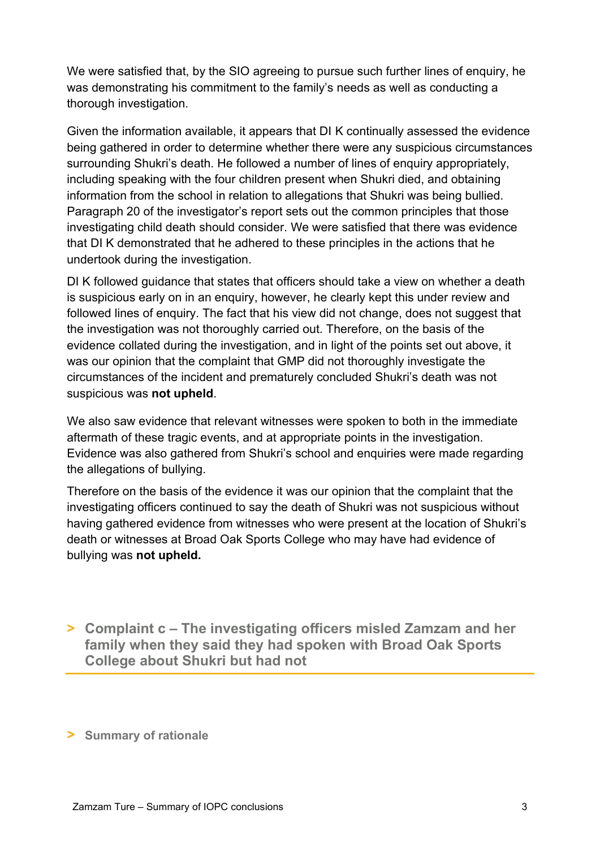We were satisfied that, by the SIO agreeing to pursue such further lines of enquiry, he was demonstrating his commitment to the family's needs as well as conducting a thorough investigation.

Given the information available, it appears that DI K continually assessed the evidence being gathered in order to determine whether there were any suspicious circumstances surrounding Shukri's death. He followed a number of lines of enquiry appropriately, including speaking with the four children present when Shukri died, and obtaining information from the school in relation to allegations that Shukri was being bullied. Paragraph 20 of the investigator's report sets out the common principles that those investigating child death should consider. We were satisfied that there was evidence that DI K demonstrated that he adhered to these principles in the actions that he undertook during the investigation.

DI K followed guidance that states that officers should take a view on whether a death is suspicious early on in an enquiry, however, he clearly kept this under review and followed lines of enquiry. The fact that his view did not change, does not suggest that the investigation was not thoroughly carried out. Therefore, on the basis of the evidence collated during the investigation, and in light of the points set out above, it was our opinion that the complaint that GMP did not thoroughly investigate the circumstances of the incident and prematurely concluded Shukri's death was not suspicious was **not upheld**.

We also saw evidence that relevant witnesses were spoken to both in the immediate aftermath of these tragic events, and at appropriate points in the investigation. Evidence was also gathered from Shukri's school and enquiries were made regarding the allegations of bullying.

Therefore on the basis of the evidence it was our opinion that the complaint that the investigating officers continued to say the death of Shukri was not suspicious without having gathered evidence from witnesses who were present at the location of Shukri's death or witnesses at Broad Oak Sports College who may have had evidence of bullying was **not upheld.**

**> Complaint c – The investigating officers misled Zamzam and her family when they said they had spoken with Broad Oak Sports College about Shukri but had not**

**> Summary of rationale**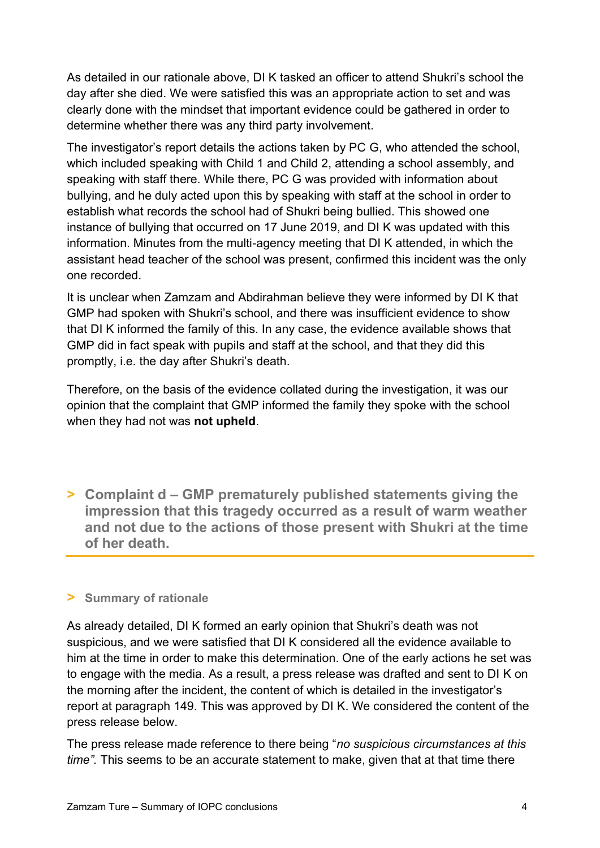As detailed in our rationale above, DI K tasked an officer to attend Shukri's school the day after she died. We were satisfied this was an appropriate action to set and was clearly done with the mindset that important evidence could be gathered in order to determine whether there was any third party involvement.

The investigator's report details the actions taken by PC G, who attended the school, which included speaking with Child 1 and Child 2, attending a school assembly, and speaking with staff there. While there, PC G was provided with information about bullying, and he duly acted upon this by speaking with staff at the school in order to establish what records the school had of Shukri being bullied. This showed one instance of bullying that occurred on 17 June 2019, and DI K was updated with this information. Minutes from the multi-agency meeting that DI K attended, in which the assistant head teacher of the school was present, confirmed this incident was the only one recorded.

It is unclear when Zamzam and Abdirahman believe they were informed by DI K that GMP had spoken with Shukri's school, and there was insufficient evidence to show that DI K informed the family of this. In any case, the evidence available shows that GMP did in fact speak with pupils and staff at the school, and that they did this promptly, i.e. the day after Shukri's death.

Therefore, on the basis of the evidence collated during the investigation, it was our opinion that the complaint that GMP informed the family they spoke with the school when they had not was **not upheld**.

**> Complaint d – GMP prematurely published statements giving the impression that this tragedy occurred as a result of warm weather and not due to the actions of those present with Shukri at the time of her death.**

## **> Summary of rationale**

As already detailed, DI K formed an early opinion that Shukri's death was not suspicious, and we were satisfied that DI K considered all the evidence available to him at the time in order to make this determination. One of the early actions he set was to engage with the media. As a result, a press release was drafted and sent to DI K on the morning after the incident, the content of which is detailed in the investigator's report at paragraph 149. This was approved by DI K. We considered the content of the press release below.

The press release made reference to there being "*no suspicious circumstances at this time".* This seems to be an accurate statement to make, given that at that time there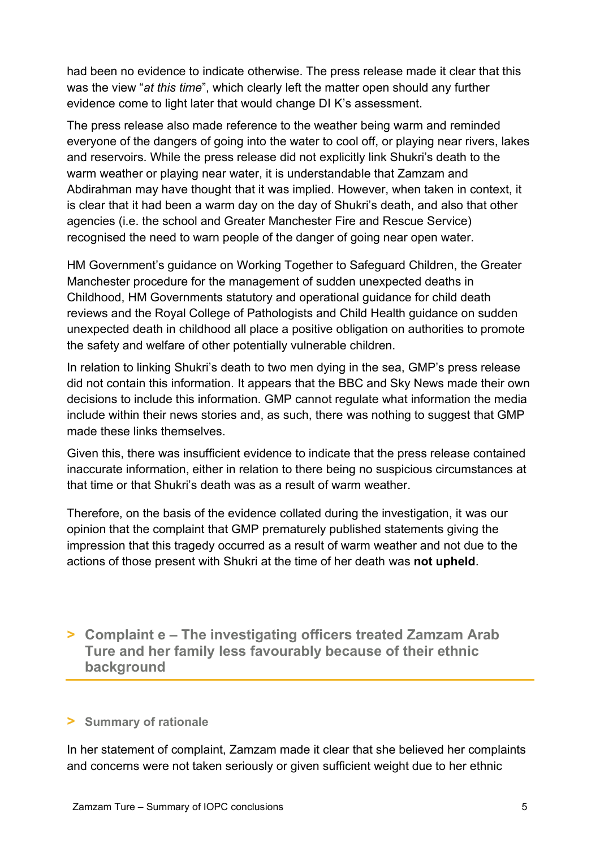had been no evidence to indicate otherwise. The press release made it clear that this was the view "*at this time*", which clearly left the matter open should any further evidence come to light later that would change DI K's assessment.

The press release also made reference to the weather being warm and reminded everyone of the dangers of going into the water to cool off, or playing near rivers, lakes and reservoirs. While the press release did not explicitly link Shukri's death to the warm weather or playing near water, it is understandable that Zamzam and Abdirahman may have thought that it was implied. However, when taken in context, it is clear that it had been a warm day on the day of Shukri's death, and also that other agencies (i.e. the school and Greater Manchester Fire and Rescue Service) recognised the need to warn people of the danger of going near open water.

HM Government's guidance on Working Together to Safeguard Children, the Greater Manchester procedure for the management of sudden unexpected deaths in Childhood, HM Governments statutory and operational guidance for child death reviews and the Royal College of Pathologists and Child Health guidance on sudden unexpected death in childhood all place a positive obligation on authorities to promote the safety and welfare of other potentially vulnerable children.

In relation to linking Shukri's death to two men dying in the sea, GMP's press release did not contain this information. It appears that the BBC and Sky News made their own decisions to include this information. GMP cannot regulate what information the media include within their news stories and, as such, there was nothing to suggest that GMP made these links themselves.

Given this, there was insufficient evidence to indicate that the press release contained inaccurate information, either in relation to there being no suspicious circumstances at that time or that Shukri's death was as a result of warm weather.

Therefore, on the basis of the evidence collated during the investigation, it was our opinion that the complaint that GMP prematurely published statements giving the impression that this tragedy occurred as a result of warm weather and not due to the actions of those present with Shukri at the time of her death was **not upheld**.

**> Complaint e – The investigating officers treated Zamzam Arab Ture and her family less favourably because of their ethnic background**

## **> Summary of rationale**

In her statement of complaint, Zamzam made it clear that she believed her complaints and concerns were not taken seriously or given sufficient weight due to her ethnic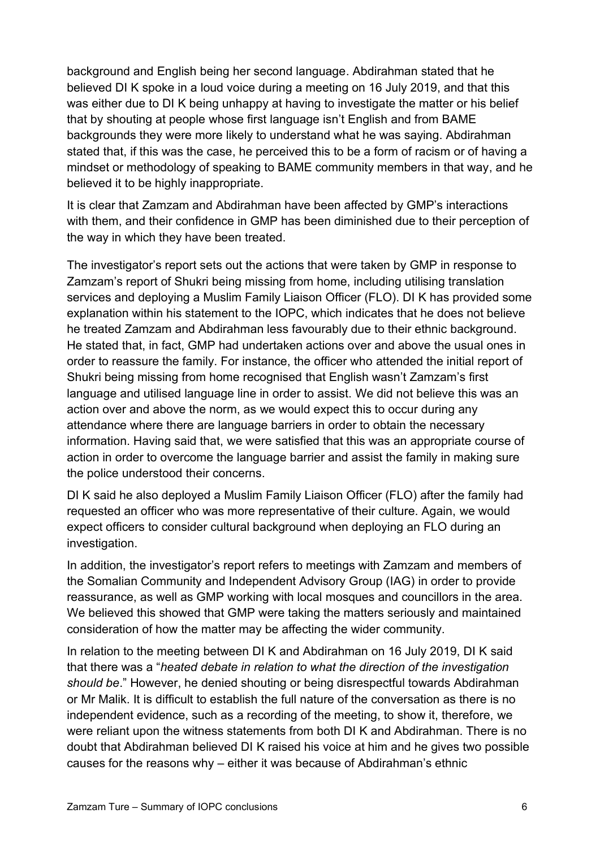background and English being her second language. Abdirahman stated that he believed DI K spoke in a loud voice during a meeting on 16 July 2019, and that this was either due to DI K being unhappy at having to investigate the matter or his belief that by shouting at people whose first language isn't English and from BAME backgrounds they were more likely to understand what he was saying. Abdirahman stated that, if this was the case, he perceived this to be a form of racism or of having a mindset or methodology of speaking to BAME community members in that way, and he believed it to be highly inappropriate.

It is clear that Zamzam and Abdirahman have been affected by GMP's interactions with them, and their confidence in GMP has been diminished due to their perception of the way in which they have been treated.

The investigator's report sets out the actions that were taken by GMP in response to Zamzam's report of Shukri being missing from home, including utilising translation services and deploying a Muslim Family Liaison Officer (FLO). DI K has provided some explanation within his statement to the IOPC, which indicates that he does not believe he treated Zamzam and Abdirahman less favourably due to their ethnic background. He stated that, in fact, GMP had undertaken actions over and above the usual ones in order to reassure the family. For instance, the officer who attended the initial report of Shukri being missing from home recognised that English wasn't Zamzam's first language and utilised language line in order to assist. We did not believe this was an action over and above the norm, as we would expect this to occur during any attendance where there are language barriers in order to obtain the necessary information. Having said that, we were satisfied that this was an appropriate course of action in order to overcome the language barrier and assist the family in making sure the police understood their concerns.

DI K said he also deployed a Muslim Family Liaison Officer (FLO) after the family had requested an officer who was more representative of their culture. Again, we would expect officers to consider cultural background when deploying an FLO during an investigation.

In addition, the investigator's report refers to meetings with Zamzam and members of the Somalian Community and Independent Advisory Group (IAG) in order to provide reassurance, as well as GMP working with local mosques and councillors in the area. We believed this showed that GMP were taking the matters seriously and maintained consideration of how the matter may be affecting the wider community.

In relation to the meeting between DI K and Abdirahman on 16 July 2019, DI K said that there was a "*heated debate in relation to what the direction of the investigation should be*." However, he denied shouting or being disrespectful towards Abdirahman or Mr Malik. It is difficult to establish the full nature of the conversation as there is no independent evidence, such as a recording of the meeting, to show it, therefore, we were reliant upon the witness statements from both DI K and Abdirahman. There is no doubt that Abdirahman believed DI K raised his voice at him and he gives two possible causes for the reasons why – either it was because of Abdirahman's ethnic